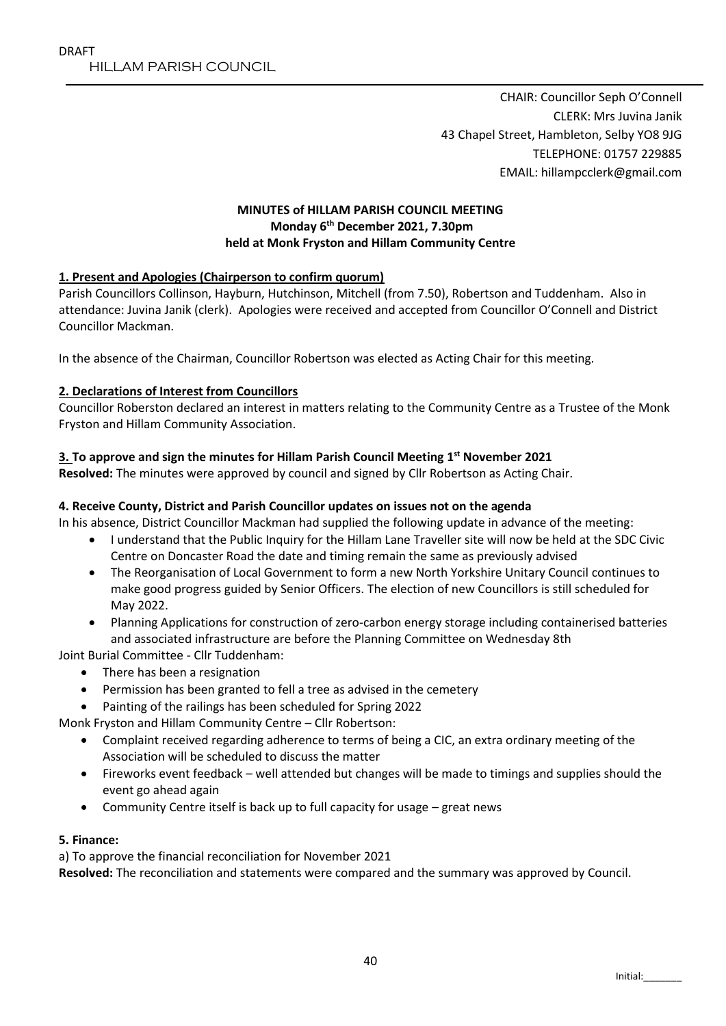CHAIR: Councillor Seph O'Connell CLERK: Mrs Juvina Janik 43 Chapel Street, Hambleton, Selby YO8 9JG TELEPHONE: 01757 229885 EMAIL: hillampcclerk@gmail.com

### **MINUTES of HILLAM PARISH COUNCIL MEETING Monday 6 th December 2021, 7.30pm held at Monk Fryston and Hillam Community Centre**

### **1. Present and Apologies (Chairperson to confirm quorum)**

Parish Councillors Collinson, Hayburn, Hutchinson, Mitchell (from 7.50), Robertson and Tuddenham. Also in attendance: Juvina Janik (clerk). Apologies were received and accepted from Councillor O'Connell and District Councillor Mackman.

In the absence of the Chairman, Councillor Robertson was elected as Acting Chair for this meeting.

### **2. Declarations of Interest from Councillors**

Councillor Roberston declared an interest in matters relating to the Community Centre as a Trustee of the Monk Fryston and Hillam Community Association.

# **3. To approve and sign the minutes for Hillam Parish Council Meeting 1 st November 2021**

**Resolved:** The minutes were approved by council and signed by Cllr Robertson as Acting Chair.

## **4. Receive County, District and Parish Councillor updates on issues not on the agenda**

In his absence, District Councillor Mackman had supplied the following update in advance of the meeting:

- I understand that the Public Inquiry for the Hillam Lane Traveller site will now be held at the SDC Civic Centre on Doncaster Road the date and timing remain the same as previously advised
- The Reorganisation of Local Government to form a new North Yorkshire Unitary Council continues to make good progress guided by Senior Officers. The election of new Councillors is still scheduled for May 2022.
- Planning Applications for construction of zero-carbon energy storage including containerised batteries and associated infrastructure are before the Planning Committee on Wednesday 8th

Joint Burial Committee - Cllr Tuddenham:

- There has been a resignation
- Permission has been granted to fell a tree as advised in the cemetery
- Painting of the railings has been scheduled for Spring 2022

Monk Fryston and Hillam Community Centre – Cllr Robertson:

- Complaint received regarding adherence to terms of being a CIC, an extra ordinary meeting of the Association will be scheduled to discuss the matter
- Fireworks event feedback well attended but changes will be made to timings and supplies should the event go ahead again
- Community Centre itself is back up to full capacity for usage great news

### **5. Finance:**

a) To approve the financial reconciliation for November 2021

**Resolved:** The reconciliation and statements were compared and the summary was approved by Council.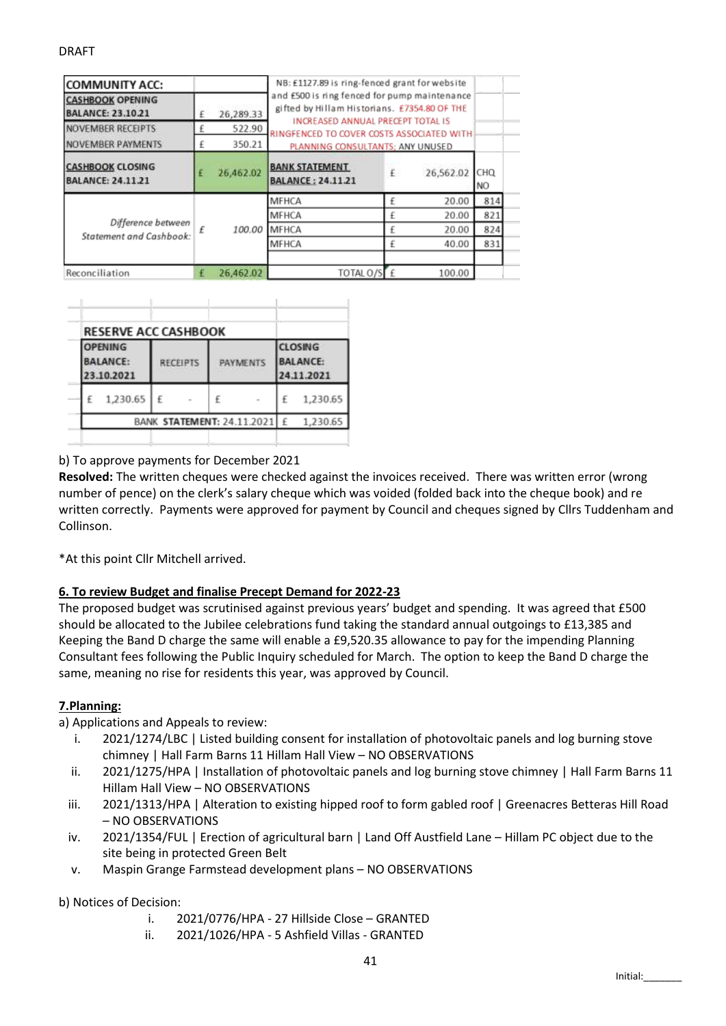| <b>COMMUNITY ACC:</b><br><b>CASHBOOK OPENING</b><br><b>BALANCE: 23.10.21</b> | 26,289.33 |                  | NB: £1127.89 is ring-fenced grant for website<br>and £500 is ring fenced for pump maintenance<br>gifted by Hillam Historians. £7354.80 OF THE<br>INCREASED ANNUAL PRECEPT TOTAL IS |    |           |                   |  |
|------------------------------------------------------------------------------|-----------|------------------|------------------------------------------------------------------------------------------------------------------------------------------------------------------------------------|----|-----------|-------------------|--|
| <b>NOVEMBER RECEIPTS</b><br>NOVEMBER PAYMENTS                                |           | 522.90<br>350.21 | RINGFENCED TO COVER COSTS ASSOCIATED WITH                                                                                                                                          |    |           |                   |  |
| <b>CASHBOOK CLOSING</b><br><b>BALANCE: 24.11.21</b>                          |           | 26,462.02        | PLANNING CONSULTANTS; ANY UNUSED<br><b>BANK STATEMENT</b><br><b>BALANCE: 24.11.21</b>                                                                                              | £. | 26,562.02 | <b>CHQ</b><br>NO. |  |
|                                                                              |           |                  | MFHCA                                                                                                                                                                              |    | 20.00     | 814               |  |
| Difference between<br>Statement and Cashbook:                                |           | 100.00           | <b>MFHCA</b>                                                                                                                                                                       |    | 20.00     | 821               |  |
|                                                                              |           |                  | MFHCA                                                                                                                                                                              |    | 20.00     | 824               |  |
|                                                                              |           |                  | MFHCA                                                                                                                                                                              |    | 40.00     | 831               |  |
| Reconciliation                                                               |           | 26,462.02        | TOTAL O/SE £                                                                                                                                                                       |    | 100.00    |                   |  |

|                                                 | <b>RESERVE ACC CASHBOOK</b> |                 |  |                 |                            |                                                 |          |  |
|-------------------------------------------------|-----------------------------|-----------------|--|-----------------|----------------------------|-------------------------------------------------|----------|--|
| <b>OPENING</b><br><b>BALANCE:</b><br>23.10.2021 |                             | <b>RECEIPTS</b> |  | <b>PAYMENTS</b> |                            | <b>CLOSING</b><br><b>BALANCE:</b><br>24.11.2021 |          |  |
| £                                               | 1,230.65                    | £               |  | £               |                            |                                                 | 1,230.65 |  |
|                                                 |                             |                 |  |                 | BANK STATEMENT: 24.11.2021 | £                                               | 1,230.65 |  |

### b) To approve payments for December 2021

**Resolved:** The written cheques were checked against the invoices received. There was written error (wrong number of pence) on the clerk's salary cheque which was voided (folded back into the cheque book) and re written correctly. Payments were approved for payment by Council and cheques signed by Cllrs Tuddenham and Collinson.

\*At this point Cllr Mitchell arrived.

### **6. To review Budget and finalise Precept Demand for 2022-23**

The proposed budget was scrutinised against previous years' budget and spending. It was agreed that £500 should be allocated to the Jubilee celebrations fund taking the standard annual outgoings to £13,385 and Keeping the Band D charge the same will enable a £9,520.35 allowance to pay for the impending Planning Consultant fees following the Public Inquiry scheduled for March. The option to keep the Band D charge the same, meaning no rise for residents this year, was approved by Council.

### **7.Planning:**

a) Applications and Appeals to review:

- i. 2021/1274/LBC | Listed building consent for installation of photovoltaic panels and log burning stove chimney | Hall Farm Barns 11 Hillam Hall View – NO OBSERVATIONS
- ii. 2021/1275/HPA | Installation of photovoltaic panels and log burning stove chimney | Hall Farm Barns 11 Hillam Hall View – NO OBSERVATIONS
- iii. 2021/1313/HPA | Alteration to existing hipped roof to form gabled roof | Greenacres Betteras Hill Road – NO OBSERVATIONS
- iv. 2021/1354/FUL | Erection of agricultural barn | Land Off Austfield Lane Hillam PC object due to the site being in protected Green Belt
- v. Maspin Grange Farmstead development plans NO OBSERVATIONS

### b) Notices of Decision:

- i. 2021/0776/HPA 27 Hillside Close GRANTED
- ii. 2021/1026/HPA 5 Ashfield Villas GRANTED